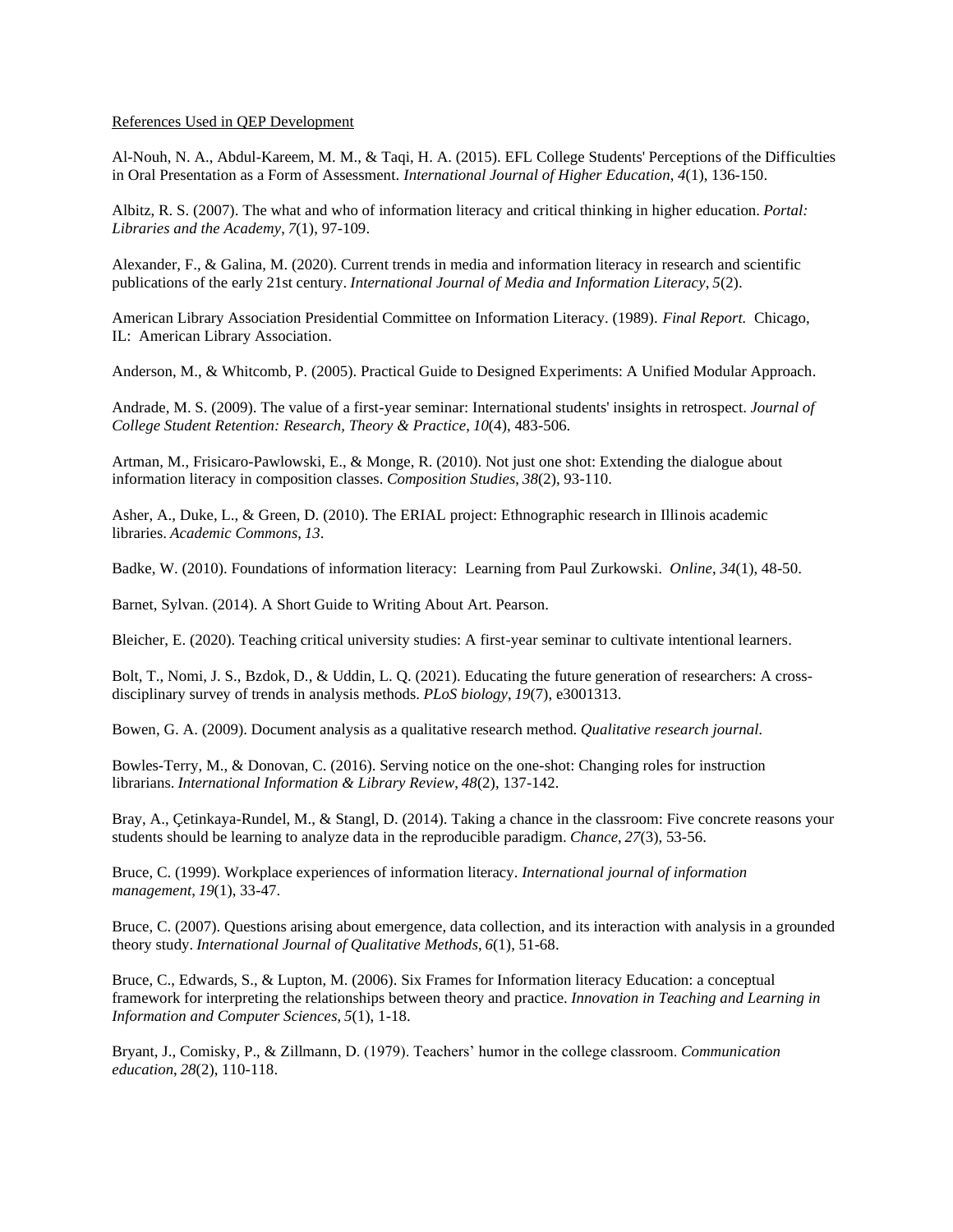## References Used in QEP Development

Al-Nouh, N. A., Abdul-Kareem, M. M., & Taqi, H. A. (2015). EFL College Students' Perceptions of the Difficulties in Oral Presentation as a Form of Assessment. *International Journal of Higher Education*, *4*(1), 136-150.

Albitz, R. S. (2007). The what and who of information literacy and critical thinking in higher education. *Portal: Libraries and the Academy*, *7*(1), 97-109.

Alexander, F., & Galina, M. (2020). Current trends in media and information literacy in research and scientific publications of the early 21st century. *International Journal of Media and Information Literacy*, *5*(2).

American Library Association Presidential Committee on Information Literacy. (1989). *Final Report.* Chicago, IL: American Library Association.

Anderson, M., & Whitcomb, P. (2005). Practical Guide to Designed Experiments: A Unified Modular Approach.

Andrade, M. S. (2009). The value of a first-year seminar: International students' insights in retrospect. *Journal of College Student Retention: Research, Theory & Practice*, *10*(4), 483-506.

Artman, M., Frisicaro-Pawlowski, E., & Monge, R. (2010). Not just one shot: Extending the dialogue about information literacy in composition classes. *Composition Studies*, *38*(2), 93-110.

Asher, A., Duke, L., & Green, D. (2010). The ERIAL project: Ethnographic research in Illinois academic libraries. *Academic Commons*, *13*.

Badke, W. (2010). Foundations of information literacy: Learning from Paul Zurkowski. *Online*, *34*(1), 48-50.

Barnet, Sylvan. (2014). A Short Guide to Writing About Art. Pearson.

Bleicher, E. (2020). Teaching critical university studies: A first-year seminar to cultivate intentional learners.

Bolt, T., Nomi, J. S., Bzdok, D., & Uddin, L. Q. (2021). Educating the future generation of researchers: A crossdisciplinary survey of trends in analysis methods. *PLoS biology*, *19*(7), e3001313.

Bowen, G. A. (2009). Document analysis as a qualitative research method. *Qualitative research journal.*

Bowles-Terry, M., & Donovan, C. (2016). Serving notice on the one-shot: Changing roles for instruction librarians. *International Information & Library Review*, *48*(2), 137-142.

Bray, A., Çetinkaya-Rundel, M., & Stangl, D. (2014). Taking a chance in the classroom: Five concrete reasons your students should be learning to analyze data in the reproducible paradigm. *Chance*, *27*(3), 53-56.

Bruce, C. (1999). Workplace experiences of information literacy. *International journal of information management*, *19*(1), 33-47.

Bruce, C. (2007). Questions arising about emergence, data collection, and its interaction with analysis in a grounded theory study. *International Journal of Qualitative Methods*, *6*(1), 51-68.

Bruce, C., Edwards, S., & Lupton, M. (2006). Six Frames for Information literacy Education: a conceptual framework for interpreting the relationships between theory and practice. *Innovation in Teaching and Learning in Information and Computer Sciences*, *5*(1), 1-18.

Bryant, J., Comisky, P., & Zillmann, D. (1979). Teachers' humor in the college classroom. *Communication education*, *28*(2), 110-118.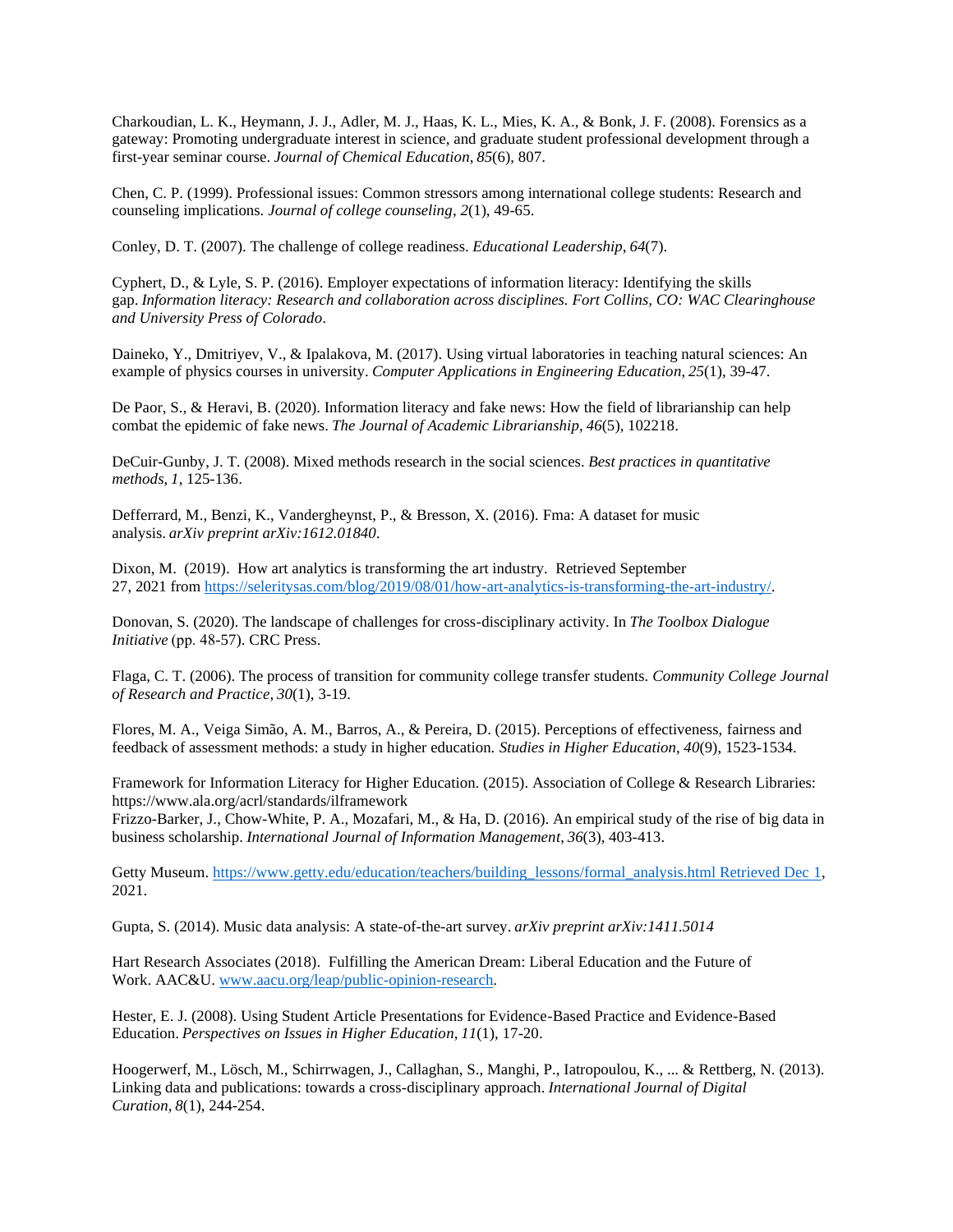Charkoudian, L. K., Heymann, J. J., Adler, M. J., Haas, K. L., Mies, K. A., & Bonk, J. F. (2008). Forensics as a gateway: Promoting undergraduate interest in science, and graduate student professional development through a first-year seminar course. *Journal of Chemical Education*, *85*(6), 807.

Chen, C. P. (1999). Professional issues: Common stressors among international college students: Research and counseling implications. *Journal of college counseling*, *2*(1), 49-65.

Conley, D. T. (2007). The challenge of college readiness. *Educational Leadership*, *64*(7).

Cyphert, D., & Lyle, S. P. (2016). Employer expectations of information literacy: Identifying the skills gap. *Information literacy: Research and collaboration across disciplines. Fort Collins, CO: WAC Clearinghouse and University Press of Colorado*.

Daineko, Y., Dmitriyev, V., & Ipalakova, M. (2017). Using virtual laboratories in teaching natural sciences: An example of physics courses in university. *Computer Applications in Engineering Education*, *25*(1), 39-47.

De Paor, S., & Heravi, B. (2020). Information literacy and fake news: How the field of librarianship can help combat the epidemic of fake news. *The Journal of Academic Librarianship*, *46*(5), 102218.

DeCuir-Gunby, J. T. (2008). Mixed methods research in the social sciences. *Best practices in quantitative methods*, *1*, 125-136.

Defferrard, M., Benzi, K., Vandergheynst, P., & Bresson, X. (2016). Fma: A dataset for music analysis. *arXiv preprint arXiv:1612.01840.*

Dixon, M. (2019). How art analytics is transforming the art industry. Retrieved September 27, 2021 from [https://seleritysas.com/blog/2019/08/01/how-art-analytics-is-transforming-the-art-industry/.](https://seleritysas.com/blog/2019/08/01/how-art-analytics-is-transforming-the-art-industry/)

Donovan, S. (2020). The landscape of challenges for cross-disciplinary activity. In *The Toolbox Dialogue Initiative* (pp. 48-57). CRC Press.

Flaga, C. T. (2006). The process of transition for community college transfer students. *Community College Journal of Research and Practice*, *30*(1), 3-19.

Flores, M. A., Veiga Simão, A. M., Barros, A., & Pereira, D. (2015). Perceptions of effectiveness, fairness and feedback of assessment methods: a study in higher education. *Studies in Higher Education*, *40*(9), 1523-1534.

Framework for Information Literacy for Higher Education. (2015). Association of College & Research Libraries: https://www.ala.org/acrl/standards/ilframework

Frizzo-Barker, J., Chow-White, P. A., Mozafari, M., & Ha, D. (2016). An empirical study of the rise of big data in business scholarship. *International Journal of Information Management*, *36*(3), 403-413.

Getty Museum. [https://www.getty.edu/education/teachers/building\\_lessons/formal\\_analysis.html Retrieved Dec 1,](https://www.getty.edu/education/teachers/building_lessons/formal_analysis.html%20Retrieved%20Dec%201) 2021.

Gupta, S. (2014). Music data analysis: A state-of-the-art survey. *arXiv preprint arXiv:1411.5014*

Hart Research Associates (2018). Fulfilling the American Dream: Liberal Education and the Future of Work. AAC&U. [www.aacu.org/leap/public-opinion-research.](http://www.aacu.org/leap/public-opinion-research)

Hester, E. J. (2008). Using Student Article Presentations for Evidence-Based Practice and Evidence-Based Education. *Perspectives on Issues in Higher Education*, *11*(1), 17-20.

Hoogerwerf, M., Lösch, M., Schirrwagen, J., Callaghan, S., Manghi, P., Iatropoulou, K., ... & Rettberg, N. (2013). Linking data and publications: towards a cross-disciplinary approach. *International Journal of Digital Curation*, *8*(1), 244-254.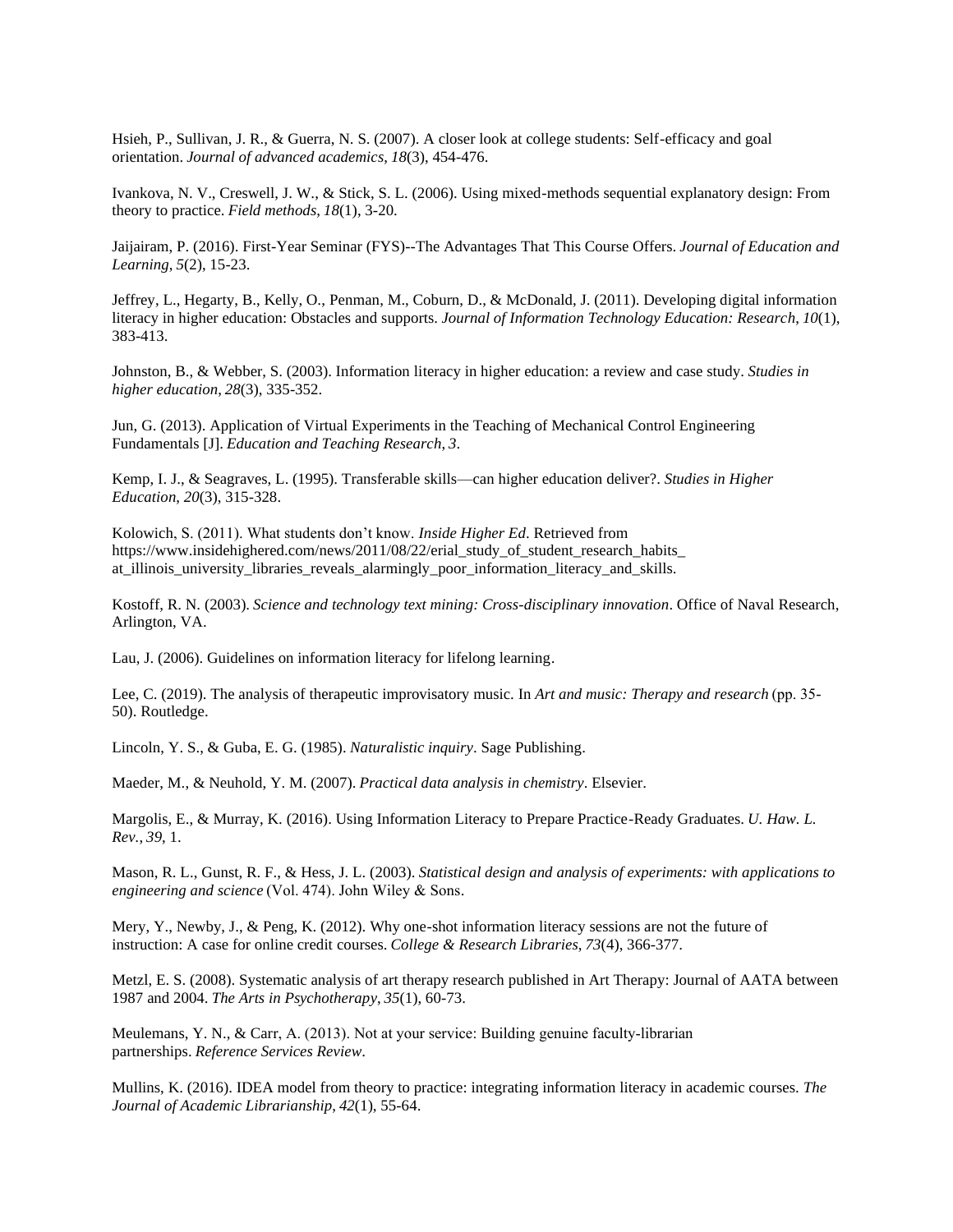Hsieh, P., Sullivan, J. R., & Guerra, N. S. (2007). A closer look at college students: Self-efficacy and goal orientation. *Journal of advanced academics*, *18*(3), 454-476.

Ivankova, N. V., Creswell, J. W., & Stick, S. L. (2006). Using mixed-methods sequential explanatory design: From theory to practice. *Field methods*, *18*(1), 3-20.

Jaijairam, P. (2016). First-Year Seminar (FYS)--The Advantages That This Course Offers. *Journal of Education and Learning*, *5*(2), 15-23.

Jeffrey, L., Hegarty, B., Kelly, O., Penman, M., Coburn, D., & McDonald, J. (2011). Developing digital information literacy in higher education: Obstacles and supports. *Journal of Information Technology Education: Research*, *10*(1), 383-413.

Johnston, B., & Webber, S. (2003). Information literacy in higher education: a review and case study. *Studies in higher education*, *28*(3), 335-352.

Jun, G. (2013). Application of Virtual Experiments in the Teaching of Mechanical Control Engineering Fundamentals [J]. *Education and Teaching Research*, *3*.

Kemp, I. J., & Seagraves, L. (1995). Transferable skills—can higher education deliver?. *Studies in Higher Education*, *20*(3), 315-328.

Kolowich, S. (2011). What students don't know. *Inside Higher Ed*. Retrieved from https://www.insidehighered.com/news/2011/08/22/erial\_study\_of\_student\_research\_habits\_ at\_illinois\_university\_libraries\_reveals\_alarmingly\_poor\_information\_literacy\_and\_skills.

Kostoff, R. N. (2003). *Science and technology text mining: Cross-disciplinary innovation*. Office of Naval Research, Arlington, VA.

Lau, J. (2006). Guidelines on information literacy for lifelong learning.

Lee, C. (2019). The analysis of therapeutic improvisatory music. In *Art and music: Therapy and research* (pp. 35- 50). Routledge.

Lincoln, Y. S., & Guba, E. G. (1985). *Naturalistic inquiry*. Sage Publishing.

Maeder, M., & Neuhold, Y. M. (2007). *Practical data analysis in chemistry*. Elsevier.

Margolis, E., & Murray, K. (2016). Using Information Literacy to Prepare Practice-Ready Graduates. *U. Haw. L. Rev.*, *39*, 1.

Mason, R. L., Gunst, R. F., & Hess, J. L. (2003). *Statistical design and analysis of experiments: with applications to engineering and science* (Vol. 474). John Wiley & Sons.

Mery, Y., Newby, J., & Peng, K. (2012). Why one-shot information literacy sessions are not the future of instruction: A case for online credit courses. *College & Research Libraries*, *73*(4), 366-377.

Metzl, E. S. (2008). Systematic analysis of art therapy research published in Art Therapy: Journal of AATA between 1987 and 2004. *The Arts in Psychotherapy*, *35*(1), 60-73.

Meulemans, Y. N., & Carr, A. (2013). Not at your service: Building genuine faculty-librarian partnerships. *Reference Services Review*.

Mullins, K. (2016). IDEA model from theory to practice: integrating information literacy in academic courses. *The Journal of Academic Librarianship*, *42*(1), 55-64.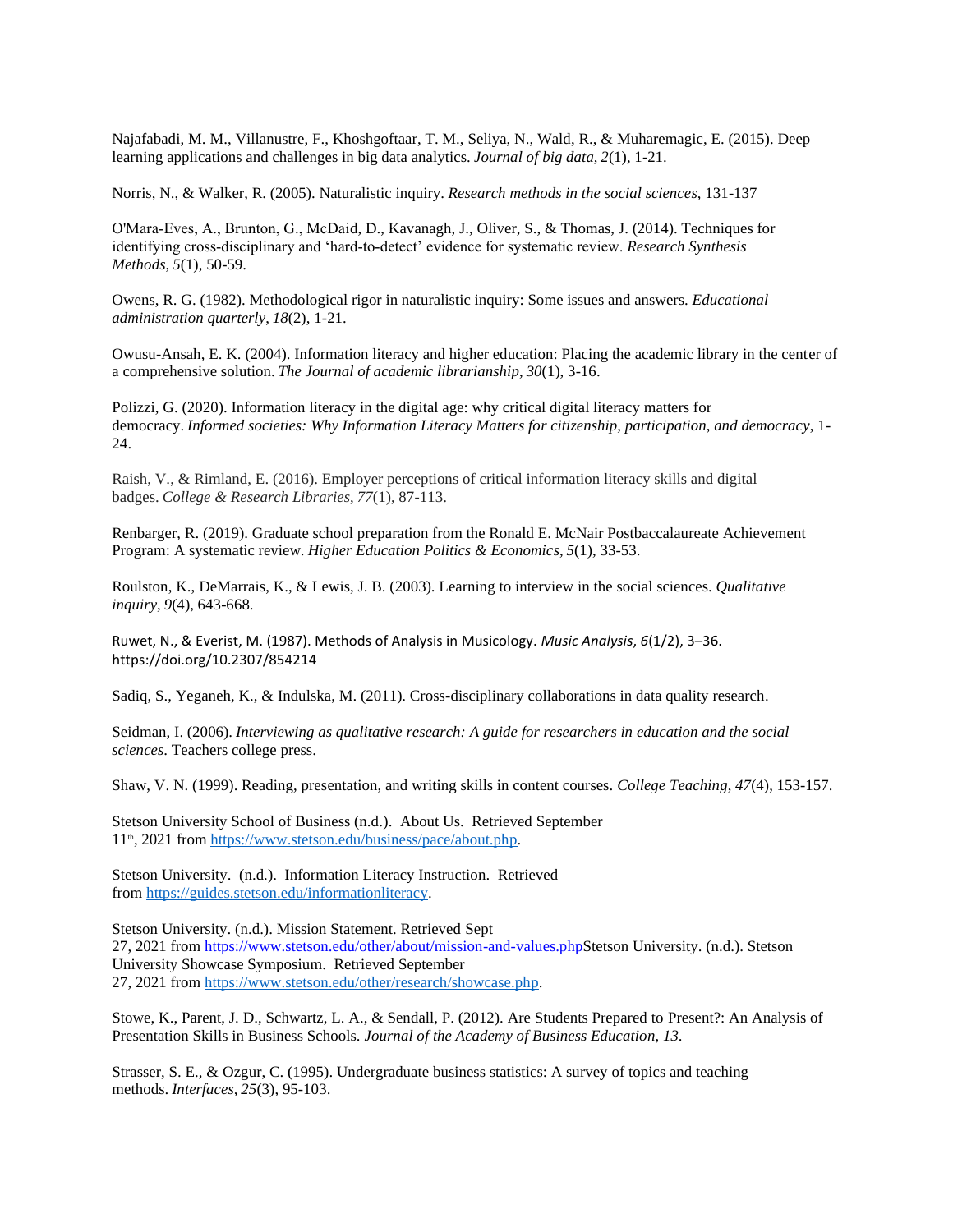Najafabadi, M. M., Villanustre, F., Khoshgoftaar, T. M., Seliya, N., Wald, R., & Muharemagic, E. (2015). Deep learning applications and challenges in big data analytics. *Journal of big data*, *2*(1), 1-21.

Norris, N., & Walker, R. (2005). Naturalistic inquiry. *Research methods in the social sciences*, 131-137

O'Mara‐Eves, A., Brunton, G., McDaid, D., Kavanagh, J., Oliver, S., & Thomas, J. (2014). Techniques for identifying cross‐disciplinary and 'hard‐to‐detect' evidence for systematic review. *Research Synthesis Methods*, *5*(1), 50-59.

Owens, R. G. (1982). Methodological rigor in naturalistic inquiry: Some issues and answers. *Educational administration quarterly*, *18*(2), 1-21.

Owusu-Ansah, E. K. (2004). Information literacy and higher education: Placing the academic library in the center of a comprehensive solution. *The Journal of academic librarianship*, *30*(1), 3-16.

Polizzi, G. (2020). Information literacy in the digital age: why critical digital literacy matters for democracy. *Informed societies: Why Information Literacy Matters for citizenship, participation, and democracy*, 1- 24.

Raish, V., & Rimland, E. (2016). Employer perceptions of critical information literacy skills and digital badges. *College & Research Libraries*, *77*(1), 87-113.

Renbarger, R. (2019). Graduate school preparation from the Ronald E. McNair Postbaccalaureate Achievement Program: A systematic review. *Higher Education Politics & Economics*, *5*(1), 33-53.

Roulston, K., DeMarrais, K., & Lewis, J. B. (2003). Learning to interview in the social sciences. *Qualitative inquiry*, *9*(4), 643-668.

Ruwet, N., & Everist, M. (1987). Methods of Analysis in Musicology. *Music Analysis*, *6*(1/2), 3–36. https://doi.org/10.2307/854214

Sadiq, S., Yeganeh, K., & Indulska, M. (2011). Cross-disciplinary collaborations in data quality research.

Seidman, I. (2006). *Interviewing as qualitative research: A guide for researchers in education and the social sciences*. Teachers college press.

Shaw, V. N. (1999). Reading, presentation, and writing skills in content courses. *College Teaching*, *47*(4), 153-157.

Stetson University School of Business (n.d.). About Us. Retrieved September 11<sup>th</sup>, 2021 from [https://www.stetson.edu/business/pace/about.php.](https://www.stetson.edu/business/pace/about.php)

Stetson University. (n.d.). Information Literacy Instruction. Retrieved from [https://guides.stetson.edu/informationliteracy.](https://guides.stetson.edu/informationliteracy)

Stetson University. (n.d.). Mission Statement. Retrieved Sept 27, 2021 from [https://www.stetson.edu/other/about/mission-and-values.phpS](https://www.stetson.edu/other/about/mission-and-values.php)tetson University. (n.d.). Stetson University Showcase Symposium. Retrieved September 27, 2021 from [https://www.stetson.edu/other/research/showcase.php.](https://www.stetson.edu/other/research/showcase.php)

Stowe, K., Parent, J. D., Schwartz, L. A., & Sendall, P. (2012). Are Students Prepared to Present?: An Analysis of Presentation Skills in Business Schools. *Journal of the Academy of Business Education*, *13*.

Strasser, S. E., & Ozgur, C. (1995). Undergraduate business statistics: A survey of topics and teaching methods. *Interfaces*, *25*(3), 95-103.